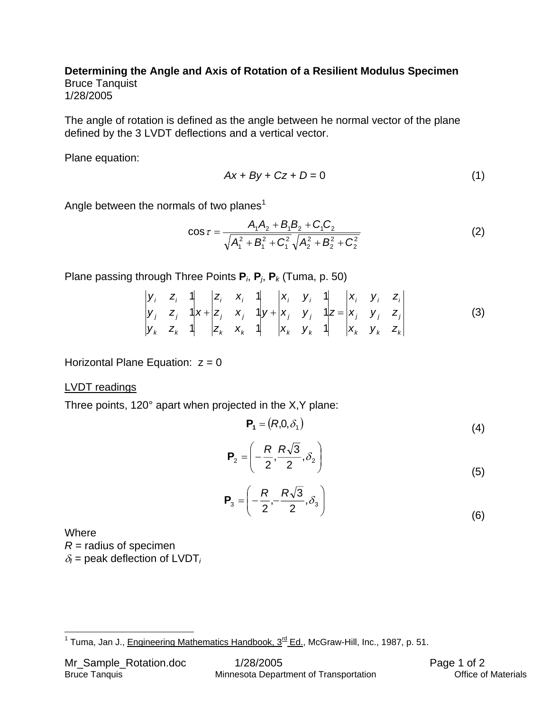## **Determining the Angle and Axis of Rotation of a Resilient Modulus Specimen**  Bruce Tanquist 1/28/2005

The angle of rotation is defined as the angle between he normal vector of the plane defined by the 3 LVDT deflections and a vertical vector.

Plane equation:

$$
Ax + By + Cz + D = 0 \tag{1}
$$

Angle between the normals of two planes<sup>[1](#page-0-0)</sup>

$$
\cos \tau = \frac{A_1 A_2 + B_1 B_2 + C_1 C_2}{\sqrt{A_1^2 + B_1^2 + C_1^2} \sqrt{A_2^2 + B_2^2 + C_2^2}}
$$
(2)

Plane passing through Three Points **P***i*, **P***j*, **P***k* (Tuma, p. 50)

$$
\begin{vmatrix} y_i & z_i & 1 \ y_j & z_j & 1 \ y_k & z_k & 1 \ \end{vmatrix} x + \begin{vmatrix} z_i & x_i & 1 \ z_j & x_j & 1 \ z_k & x_k & 1 \ \end{vmatrix} y + \begin{vmatrix} x_i & y_i & 1 \ x_j & y_j & 1 \ x_k & y_k & 1 \ \end{vmatrix} z = \begin{vmatrix} x_i & y_i & z_i \ x_j & y_j & z_j \ x_k & y_k & z_k \ \end{vmatrix}
$$
 (3)

Horizontal Plane Equation:  $z = 0$ 

LVDT readings

Three points, 120° apart when projected in the X,Y plane:

$$
\mathbf{P}_1 = (R, 0, \delta_1) \tag{4}
$$

$$
\mathbf{P}_2 = \left( -\frac{R}{2}, \frac{R\sqrt{3}}{2}, \delta_2 \right) \tag{5}
$$

$$
\mathbf{P}_3 = \left( -\frac{R}{2}, -\frac{R\sqrt{3}}{2}, \delta_3 \right) \tag{6}
$$

Where  $R$  = radius of specimen  $\delta$ <sup>*I*</sup> = peak deflection of LVDT<sub>*i*</sub>

<span id="page-0-0"></span> <sup>1</sup> Tuma, Jan J., Engineering Mathematics Handbook, 3rd Ed., McGraw-Hill, Inc., 1987, p. 51.